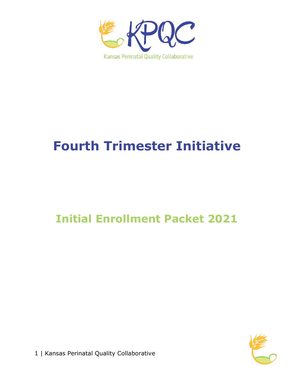

# **Fourth Trimester Initiative**

# **Initial Enrollment Packet 2021**



1 | Kansas Perinatal Quality Collaborative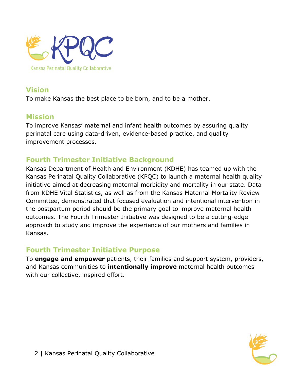

#### **Vision**

To make Kansas the best place to be born, and to be a mother.

#### **Mission**

To improve Kansas' maternal and infant health outcomes by assuring quality perinatal care using data-driven, evidence-based practice, and quality improvement processes.

# **Fourth Trimester Initiative Background**

Kansas Department of Health and Environment (KDHE) has teamed up with the Kansas Perinatal Quality Collaborative (KPQC) to launch a maternal health quality initiative aimed at decreasing maternal morbidity and mortality in our state. Data from KDHE Vital Statistics, as well as from the Kansas Maternal Mortality Review Committee, demonstrated that focused evaluation and intentional intervention in the postpartum period should be the primary goal to improve maternal health outcomes. The Fourth Trimester Initiative was designed to be a cutting-edge approach to study and improve the experience of our mothers and families in Kansas.

#### **Fourth Trimester Initiative Purpose**

To **engage and empower** patients, their families and support system, providers, and Kansas communities to **intentionally improve** maternal health outcomes with our collective, inspired effort.

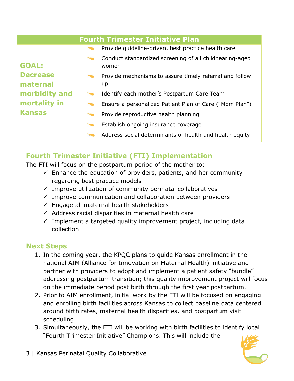| <b>Fourth Trimester Initiative Plan</b>     |  |                                                                  |  |
|---------------------------------------------|--|------------------------------------------------------------------|--|
|                                             |  | Provide guideline-driven, best practice health care              |  |
| <b>GOAL:</b><br><b>Decrease</b><br>maternal |  | Conduct standardized screening of all childbearing-aged<br>women |  |
|                                             |  | Provide mechanisms to assure timely referral and follow<br>up    |  |
| morbidity and                               |  | Identify each mother's Postpartum Care Team                      |  |
| mortality in                                |  | Ensure a personalized Patient Plan of Care ("Mom Plan")          |  |
| <b>Kansas</b>                               |  | Provide reproductive health planning                             |  |
|                                             |  | Establish ongoing insurance coverage                             |  |
|                                             |  | Address social determinants of health and health equity          |  |

# **Fourth Trimester Initiative (FTI) Implementation**

The FTI will focus on the postpartum period of the mother to:

- $\checkmark$  Enhance the education of providers, patients, and her community regarding best practice models
- $\checkmark$  Improve utilization of community perinatal collaboratives
- $\checkmark$  Improve communication and collaboration between providers
- $\checkmark$  Engage all maternal health stakeholders
- $\checkmark$  Address racial disparities in maternal health care
- $\checkmark$  Implement a targeted quality improvement project, including data collection

#### **Next Steps**

- 1. In the coming year, the KPQC plans to guide Kansas enrollment in the national AIM (Alliance for Innovation on Maternal Health) initiative and partner with providers to adopt and implement a patient safety "bundle" addressing postpartum transition; this quality improvement project will focus on the immediate period post birth through the first year postpartum.
- 2. Prior to AIM enrollment, initial work by the FTI will be focused on engaging and enrolling birth facilities across Kansas to collect baseline data centered around birth rates, maternal health disparities, and postpartum visit scheduling.
- 3. Simultaneously, the FTI will be working with birth facilities to identify local "Fourth Trimester Initiative" Champions. This will include the

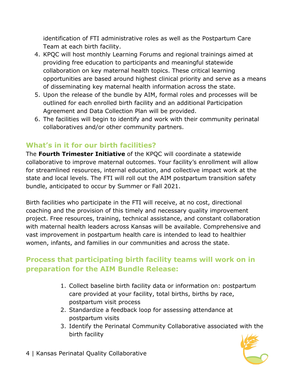identification of FTI administrative roles as well as the Postpartum Care Team at each birth facility.

- 4. KPQC will host monthly Learning Forums and regional trainings aimed at providing free education to participants and meaningful statewide collaboration on key maternal health topics. These critical learning opportunities are based around highest clinical priority and serve as a means of disseminating key maternal health information across the state.
- 5. Upon the release of the bundle by AIM, formal roles and processes will be outlined for each enrolled birth facility and an additional Participation Agreement and Data Collection Plan will be provided.
- 6. The facilities will begin to identify and work with their community perinatal collaboratives and/or other community partners.

# **What's in it for our birth facilities?**

The **Fourth Trimester Initiative** of the KPQC will coordinate a statewide collaborative to improve maternal outcomes. Your facility's enrollment will allow for streamlined resources, internal education, and collective impact work at the state and local levels. The FTI will roll out the AIM postpartum transition safety bundle, anticipated to occur by Summer or Fall 2021.

Birth facilities who participate in the FTI will receive, at no cost, directional coaching and the provision of this timely and necessary quality improvement project. Free resources, training, technical assistance, and constant collaboration with maternal health leaders across Kansas will be available. Comprehensive and vast improvement in postpartum health care is intended to lead to healthier women, infants, and families in our communities and across the state.

# **Process that participating birth facility teams will work on in preparation for the AIM Bundle Release:**

- 1. Collect baseline birth facility data or information on: postpartum care provided at your facility, total births, births by race, postpartum visit process
- 2. Standardize a feedback loop for assessing attendance at postpartum visits
- 3. Identify the Perinatal Community Collaborative associated with the birth facility



4 | Kansas Perinatal Quality Collaborative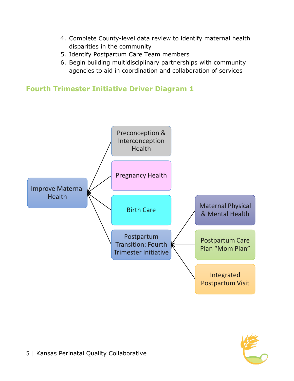- 4. Complete County-level data review to identify maternal health disparities in the community
- 5. Identify Postpartum Care Team members
- 6. Begin building multidisciplinary partnerships with community agencies to aid in coordination and collaboration of services

**Fourth Trimester Initiative Driver Diagram 1**



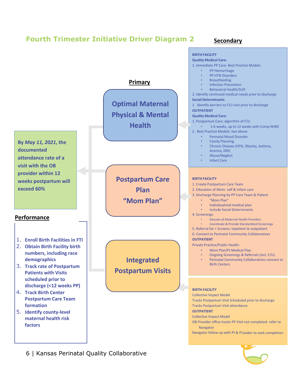





6 | Kansas Perinatal Quality Collaborative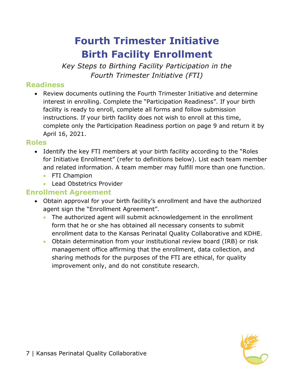# **Fourth Trimester Initiative Birth Facility Enrollment**

*Key Steps to Birthing Facility Participation in the Fourth Trimester Initiative (FTI)*

### **Readiness**

• Review documents outlining the Fourth Trimester Initiative and determine interest in enrolling. Complete the "Participation Readiness". If your birth facility is ready to enroll, complete all forms and follow submission instructions. If your birth facility does not wish to enroll at this time, complete only the Participation Readiness portion on page 9 and return it by April 16, 2021.

#### **Roles**

- Identify the key FTI members at your birth facility according to the "Roles for Initiative Enrollment" (refer to definitions below). List each team member and related information. A team member may fulfill more than one function.
	- FTI Champion
	- Lead Obstetrics Provider

#### **Enrollment Agreement**

- Obtain approval for your birth facility's enrollment and have the authorized agent sign the "Enrollment Agreement".
	- The authorized agent will submit acknowledgement in the enrollment form that he or she has obtained all necessary consents to submit enrollment data to the Kansas Perinatal Quality Collaborative and KDHE.
	- Obtain determination from your institutional review board (IRB) or risk management office affirming that the enrollment, data collection, and sharing methods for the purposes of the FTI are ethical, for quality improvement only, and do not constitute research.

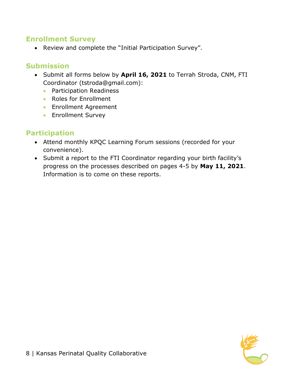#### **Enrollment Survey**

• Review and complete the "Initial Participation Survey".

#### **Submission**

- Submit all forms below by **April 16, 2021** to Terrah Stroda, CNM, FTI Coordinator (tstroda@gmail.com):
	- Participation Readiness
	- Roles for Enrollment
	- Enrollment Agreement
	- Enrollment Survey

# **Participation**

- Attend monthly KPQC Learning Forum sessions (recorded for your convenience).
- Submit a report to the FTI Coordinator regarding your birth facility's progress on the processes described on pages 4-5 by **May 11, 2021**. Information is to come on these reports.

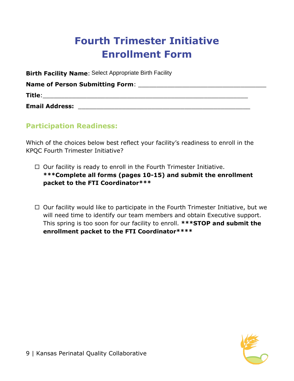# **Fourth Trimester Initiative Enrollment Form**

**Birth Facility Name**: Select Appropriate Birth Facility

**Name of Person Submitting Form:**  $\blacksquare$ 

**Title**:\_\_\_\_\_\_\_\_\_\_\_\_\_\_\_\_\_\_\_\_\_\_\_\_\_\_\_\_\_\_\_\_\_\_\_\_\_\_\_\_\_\_\_\_\_\_\_\_\_\_\_\_\_\_\_\_

**Email Address:** \_\_\_\_\_\_\_\_\_\_\_\_\_\_\_\_\_\_\_\_\_\_\_\_\_\_\_\_\_\_\_\_\_\_\_\_\_\_\_\_\_\_\_\_\_\_\_

# **Participation Readiness:**

Which of the choices below best reflect your facility's readiness to enroll in the KPQC Fourth Trimester Initiative?

- $\Box$  Our facility is ready to enroll in the Fourth Trimester Initiative. **\*\*\*Complete all forms (pages 10-15) and submit the enrollment packet to the FTI Coordinator\*\*\***
- $\Box$  Our facility would like to participate in the Fourth Trimester Initiative, but we will need time to identify our team members and obtain Executive support. This spring is too soon for our facility to enroll. **\*\*\*STOP and submit the enrollment packet to the FTI Coordinator\*\*\*\***

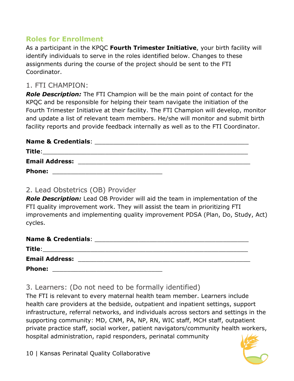# **Roles for Enrollment**

As a participant in the KPQC **Fourth Trimester Initiative**, your birth facility will identify individuals to serve in the roles identified below. Changes to these assignments during the course of the project should be sent to the FTI Coordinator.

#### 1. FTI CHAMPION:

*Role Description:* The FTI Champion will be the main point of contact for the KPQC and be responsible for helping their team navigate the initiation of the Fourth Trimester Initiative at their facility. The FTI Champion will develop, monitor and update a list of relevant team members. He/she will monitor and submit birth facility reports and provide feedback internally as well as to the FTI Coordinator.

#### **Name & Credentials:**  $\blacksquare$

| Title:                |  |  |
|-----------------------|--|--|
| <b>Email Address:</b> |  |  |
| <b>Phone:</b>         |  |  |

#### 2. Lead Obstetrics (OB) Provider

*Role Description:* Lead OB Provider will aid the team in implementation of the FTI quality improvement work. They will assist the team in prioritizing FTI improvements and implementing quality improvement PDSA (Plan, Do, Study, Act) cycles.

| <b>Name &amp; Credentials:</b>                                    |  |
|-------------------------------------------------------------------|--|
| Title:<br><u> 1989 - Johann Stein, fransk politiker (d. 1989)</u> |  |
| <b>Email Address:</b>                                             |  |
| <b>Phone:</b>                                                     |  |

3. Learners: (Do not need to be formally identified)

The FTI is relevant to every maternal health team member. Learners include health care providers at the bedside, outpatient and inpatient settings, support infrastructure, referral networks, and individuals across sectors and settings in the supporting community: MD, CNM, PA, NP, RN, WIC staff, MCH staff, outpatient private practice staff, social worker, patient navigators/community health workers, hospital administration, rapid responders, perinatal community

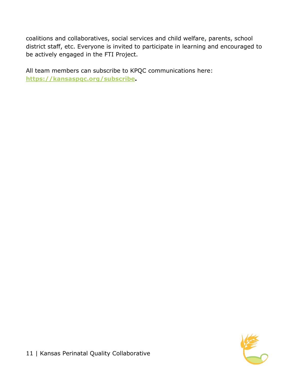coalitions and collaboratives, social services and child welfare, parents, school district staff, etc. Everyone is invited to participate in learning and encouraged to be actively engaged in the FTI Project.

All team members can subscribe to KPQC communications here: **[https://kansaspqc.org/subscribe.](https://kansaspqc.org/subscribe)**

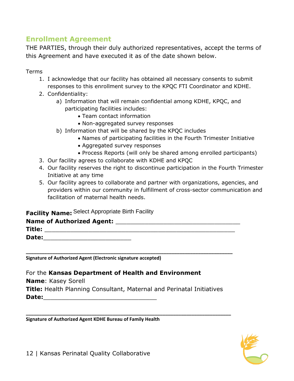### **Enrollment Agreement**

THE PARTIES, through their duly authorized representatives, accept the terms of this Agreement and have executed it as of the date shown below.

Terms

- 1. I acknowledge that our facility has obtained all necessary consents to submit responses to this enrollment survey to the KPQC FTI Coordinator and KDHE.
- 2. Confidentiality:
	- a) Information that will remain confidential among KDHE, KPQC, and participating facilities includes:
		- Team contact information
		- Non-aggregated survey responses
	- b) Information that will be shared by the KPQC includes
		- Names of participating facilities in the Fourth Trimester Initiative
		- Aggregated survey responses
		- Process Reports (will only be shared among enrolled participants)
- 3. Our facility agrees to collaborate with KDHE and KPQC
- 4. Our facility reserves the right to discontinue participation in the Fourth Trimester Initiative at any time
- 5. Our facility agrees to collaborate and partner with organizations, agencies, and providers within our community in fulfillment of cross-sector communication and facilitation of maternal health needs.

#### **Facility Name:** Select Appropriate Birth Facility

| Name of Authorized Agent: |  |
|---------------------------|--|
| Title:                    |  |
| Date:                     |  |

**\_\_\_\_\_\_\_\_\_\_\_\_\_\_\_\_\_\_\_\_\_\_\_\_\_\_\_\_\_\_\_\_\_\_\_\_\_\_\_\_\_\_\_\_\_\_\_\_\_\_\_\_\_\_\_\_\_\_\_\_\_\_\_\_\_\_\_\_\_\_\_\_\_\_\_\_\_\_** 

**Signature of Authorized Agent (Electronic signature accepted)**

For the **Kansas Department of Health and Environment Name**: Kasey Sorell

**Title:** Health Planning Consultant, Maternal and Perinatal Initiatives Date:

**\_\_\_\_\_\_\_\_\_\_\_\_\_\_\_\_\_\_\_\_\_\_\_\_\_\_\_\_\_\_\_\_\_\_\_\_\_\_\_\_\_\_\_\_\_\_\_\_\_\_\_\_\_\_\_\_\_\_\_\_\_\_\_\_\_\_\_\_\_\_\_\_\_\_\_\_\_\_**

**Signature of Authorized Agent KDHE Bureau of Family Health**

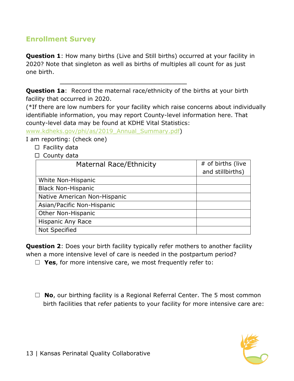# **Enrollment Survey**

**Question 1**: How many births (Live and Still births) occurred at your facility in 2020? Note that singleton as well as births of multiples all count for as just one birth.

**Question 1a:** Record the maternal race/ethnicity of the births at your birth facility that occurred in 2020.

\_\_\_\_\_\_\_\_\_\_\_\_\_\_\_\_\_\_\_\_\_\_\_\_\_\_

(\*If there are low numbers for your facility which raise concerns about individually identifiable information, you may report County-level information here. That county-level data may be found at KDHE Vital Statistics:

[www.kdheks.gov/phi/as/2019\\_Annual\\_Summary.pdf\)](http://www.kdheks.gov/phi/as/2019_Annual_Summary.pdf)

I am reporting: (check one)

- $\square$  Facility data
- □ County data

| Maternal Race/Ethnicity      | # of births (live |
|------------------------------|-------------------|
|                              | and stillbirths)  |
| White Non-Hispanic           |                   |
| <b>Black Non-Hispanic</b>    |                   |
| Native American Non-Hispanic |                   |
| Asian/Pacific Non-Hispanic   |                   |
| Other Non-Hispanic           |                   |
| Hispanic Any Race            |                   |
| <b>Not Specified</b>         |                   |

**Question 2**: Does your birth facility typically refer mothers to another facility when a more intensive level of care is needed in the postpartum period?

☐ **Yes**, for more intensive care, we most frequently refer to:

□ **No**, our birthing facility is a Regional Referral Center. The 5 most common birth facilities that refer patients to your facility for more intensive care are:

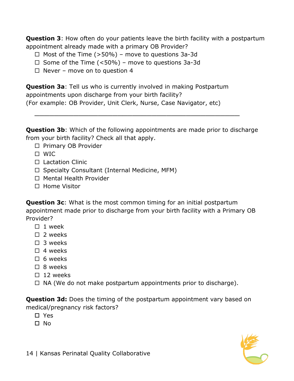**Question 3**: How often do your patients leave the birth facility with a postpartum appointment already made with a primary OB Provider?

- $\Box$  Most of the Time (>50%) move to questions 3a-3d
- $\Box$  Some of the Time (<50%) move to questions 3a-3d
- $\Box$  Never move on to question 4

**Question 3a**: Tell us who is currently involved in making Postpartum appointments upon discharge from your birth facility? (For example: OB Provider, Unit Clerk, Nurse, Case Navigator, etc)

**Question 3b**: Which of the following appointments are made prior to discharge from your birth facility? Check all that apply.

\_\_\_\_\_\_\_\_\_\_\_\_\_\_\_\_\_\_\_\_\_\_\_\_\_\_\_\_\_\_\_\_\_\_\_\_\_\_\_\_\_\_

- $\square$  Primary OB Provider
- WIC
- $\Box$  Lactation Clinic
- $\Box$  Specialty Consultant (Internal Medicine, MFM)
- □ Mental Health Provider
- $\Box$  Home Visitor

**Question 3c**: What is the most common timing for an initial postpartum appointment made prior to discharge from your birth facility with a Primary OB Provider?

- $\Box$  1 week
- $\Box$  2 weeks
- $\Box$  3 weeks
- $\Box$  4 weeks
- $\Box$  6 weeks
- $\Box$  8 weeks
- $\Box$  12 weeks
- $\Box$  NA (We do not make postpartum appointments prior to discharge).

**Question 3d:** Does the timing of the postpartum appointment vary based on medical/pregnancy risk factors?

- □ Yes
- No

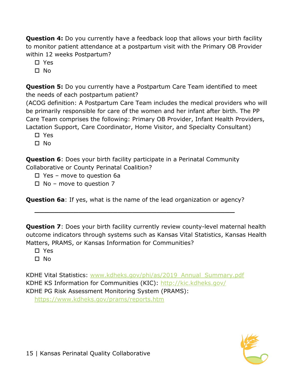**Question 4:** Do you currently have a feedback loop that allows your birth facility to monitor patient attendance at a postpartum visit with the Primary OB Provider within 12 weeks Postpartum?

Yes

 $\square$  No

**Question 5:** Do you currently have a Postpartum Care Team identified to meet the needs of each postpartum patient?

(ACOG definition: A Postpartum Care Team includes the medical providers who will be primarily responsible for care of the women and her infant after birth. The PP Care Team comprises the following: Primary OB Provider, Infant Health Providers, Lactation Support, Care Coordinator, Home Visitor, and Specialty Consultant)

□ Yes

No

**Question 6**: Does your birth facility participate in a Perinatal Community Collaborative or County Perinatal Coalition?

Yes – move to question 6a

 $\Box$  No – move to question 7

**Question 6a**: If yes, what is the name of the lead organization or agency?

 $\overline{\phantom{a}}$  , and the contract of the contract of the contract of the contract of the contract of the contract of the contract of the contract of the contract of the contract of the contract of the contract of the contrac

**Question 7**: Does your birth facility currently review county-level maternal health outcome indicators through systems such as Kansas Vital Statistics, Kansas Health Matters, PRAMS, or Kansas Information for Communities?

Yes

 $\Box$  No.

KDHE Vital Statistics: [www.kdheks.gov/phi/as/2019\\_Annual\\_Summary.pdf](http://www.kdheks.gov/phi/as/2019_Annual_Summary.pdf) KDHE KS Information for Communities (KIC):<http://kic.kdheks.gov/> KDHE PG Risk Assessment Monitoring System (PRAMS):

<https://www.kdheks.gov/prams/reports.htm>